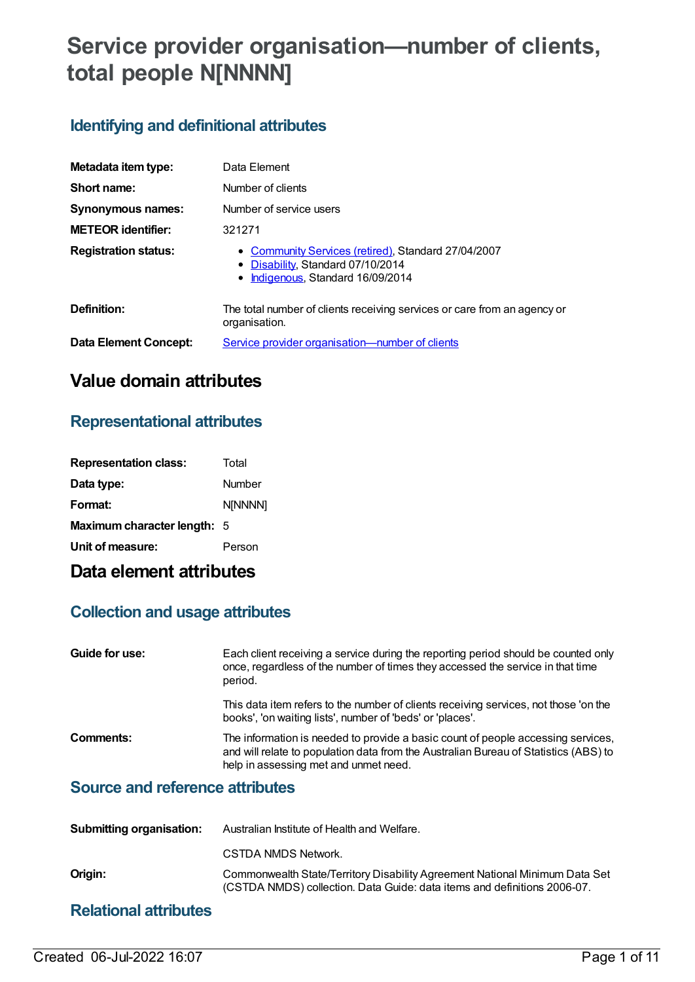# **Service provider organisation—number of clients, total people N[NNNN]**

## **Identifying and definitional attributes**

| Metadata item type:         | Data Element                                                                                                                     |
|-----------------------------|----------------------------------------------------------------------------------------------------------------------------------|
| Short name:                 | Number of clients                                                                                                                |
| <b>Synonymous names:</b>    | Number of service users                                                                                                          |
| <b>METEOR</b> identifier:   | 321271                                                                                                                           |
| <b>Registration status:</b> | • Community Services (retired), Standard 27/04/2007<br>• Disability, Standard 07/10/2014<br>Indigenous, Standard 16/09/2014<br>٠ |
| Definition:                 | The total number of clients receiving services or care from an agency or<br>organisation.                                        |
| Data Element Concept:       | Service provider organisation—number of clients                                                                                  |

# **Value domain attributes**

## **Representational attributes**

| <b>Representation class:</b> | Total   |
|------------------------------|---------|
| Data type:                   | Number  |
| Format:                      | N[NNNN] |
| Maximum character length: 5  |         |
| Unit of measure:             | Person  |

# **Data element attributes**

### **Collection and usage attributes**

| Guide for use: | Each client receiving a service during the reporting period should be counted only<br>once, regardless of the number of times they accessed the service in that time<br>period.                                   |
|----------------|-------------------------------------------------------------------------------------------------------------------------------------------------------------------------------------------------------------------|
|                | This data item refers to the number of clients receiving services, not those 'on the<br>books', 'on waiting lists', number of 'beds' or 'places'.                                                                 |
| Comments:      | The information is needed to provide a basic count of people accessing services,<br>and will relate to population data from the Australian Bureau of Statistics (ABS) to<br>help in assessing met and unmet need. |

### **Source and reference attributes**

| <b>Submitting organisation:</b> | Australian Institute of Health and Welfare.                                                                                                             |
|---------------------------------|---------------------------------------------------------------------------------------------------------------------------------------------------------|
|                                 | CSTDA NMDS Network.                                                                                                                                     |
| Origin:                         | Commonwealth State/Territory Disability Agreement National Minimum Data Set<br>(CSTDA NMDS) collection. Data Guide: data items and definitions 2006-07. |
|                                 |                                                                                                                                                         |

### **Relational attributes**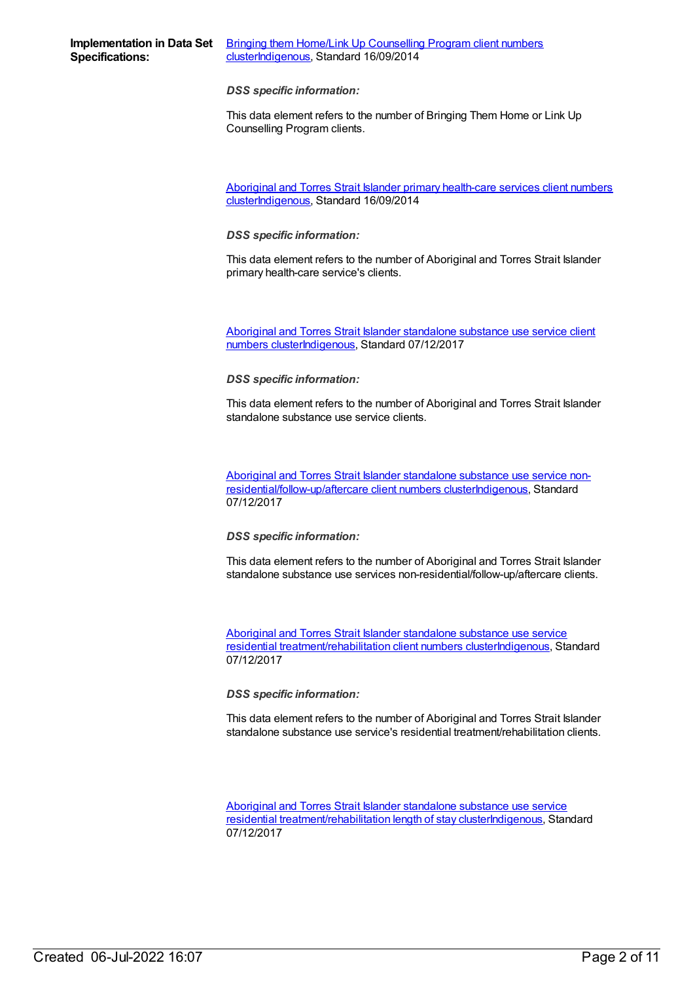**Specifications:**

*DSS specific information:*

This data element refers to the number of Bringing Them Home or Link Up Counselling Program clients.

Aboriginal and Torres Strait Islander primary health-care services client numbers [cluster](https://meteor.aihw.gov.au/content/565806)[Indigenous](https://meteor.aihw.gov.au/RegistrationAuthority/6)[,](https://meteor.aihw.gov.au/content/565806) Standard 16/09/2014

*DSS specific information:*

This data element refers to the number of Aboriginal and Torres Strait Islander primary health-care service's clients.

Aboriginal and Torres Strait Islander standalone substance use service client numbers [clusterIndigenous,](https://meteor.aihw.gov.au/content/677077) Standard 07/12/2017

*DSS specific information:*

This data element refers to the number of Aboriginal and Torres Strait Islander standalone substance use service clients.

Aboriginal and Torres Strait Islander standalone substance use service non[residential/follow-up/aftercare](https://meteor.aihw.gov.au/content/677121) client numbers cluste[rIndigenous](https://meteor.aihw.gov.au/RegistrationAuthority/6), Standard 07/12/2017

*DSS specific information:*

This data element refers to the number of Aboriginal and Torres Strait Islander standalone substance use services non-residential/follow-up/aftercare clients.

Aboriginal and Torres Strait Islander standalone substance use service residential [treatment/rehabilitation](https://meteor.aihw.gov.au/content/677083) client numbers cluste[rIndigenous](https://meteor.aihw.gov.au/RegistrationAuthority/6), Standard 07/12/2017

*DSS specific information:*

This data element refers to the number of Aboriginal and Torres Strait Islander standalone substance use service's residential treatment/rehabilitation clients.

Aboriginal and Torres Strait Islander standalone substance use service residential [treatment/rehabilitation](https://meteor.aihw.gov.au/content/677090) length of stay cluste[rIndigenous](https://meteor.aihw.gov.au/RegistrationAuthority/6), Standard 07/12/2017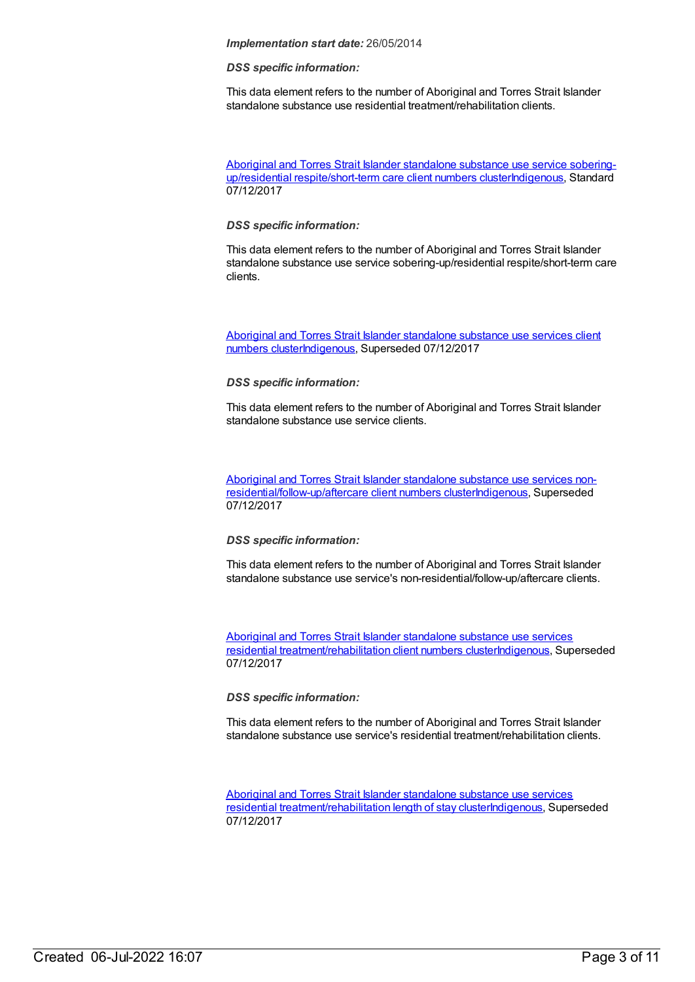#### *DSS specific information:*

This data element refers to the number of Aboriginal and Torres Strait Islander standalone substance use residential treatment/rehabilitation clients.

Aboriginal and Torres Strait Islander standalone substance use service soberingup/residential respite/short-term care client numbers [clusterIndigenous,](https://meteor.aihw.gov.au/content/677106) Standard 07/12/2017

#### *DSS specific information:*

This data element refers to the number of Aboriginal and Torres Strait Islander standalone substance use service sobering-up/residential respite/short-term care clients.

Aboriginal and Torres Strait Islander standalone substance use services client numbers [clusterIndigenous,](https://meteor.aihw.gov.au/content/568225) Superseded 07/12/2017

#### *DSS specific information:*

This data element refers to the number of Aboriginal and Torres Strait Islander standalone substance use service clients.

Aboriginal and Torres Strait Islander standalone substance use services non[residential/follow-up/aftercare](https://meteor.aihw.gov.au/content/576863) client numbers cluste[rIndigenous](https://meteor.aihw.gov.au/RegistrationAuthority/6), Superseded 07/12/2017

#### *DSS specific information:*

This data element refers to the number of Aboriginal and Torres Strait Islander standalone substance use service's non-residential/follow-up/aftercare clients.

Aboriginal and Torres Strait Islander standalone substance use services residential [treatment/rehabilitation](https://meteor.aihw.gov.au/content/575764) client numbers cluste[rIndigenous](https://meteor.aihw.gov.au/RegistrationAuthority/6), Superseded 07/12/2017

#### *DSS specific information:*

This data element refers to the number of Aboriginal and Torres Strait Islander standalone substance use service's residential treatment/rehabilitation clients.

Aboriginal and Torres Strait Islander standalone substance use services residential [treatment/rehabilitation](https://meteor.aihw.gov.au/content/575956) length of stay cluste[rIndigenous](https://meteor.aihw.gov.au/RegistrationAuthority/6), Superseded 07/12/2017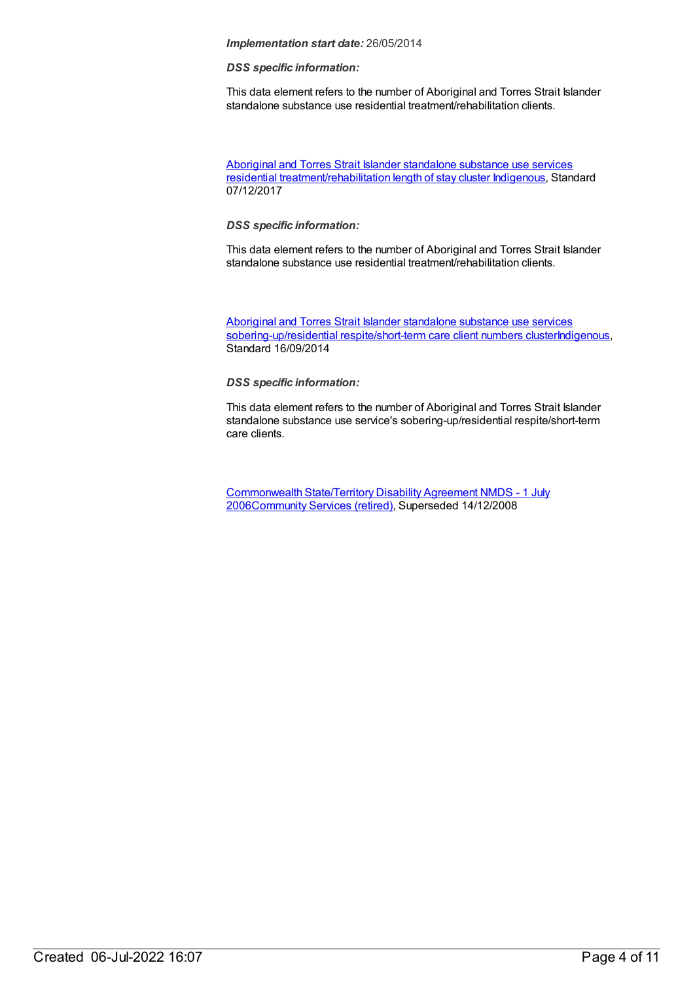#### *DSS specific information:*

This data element refers to the number of Aboriginal and Torres Strait Islander standalone substance use residential treatment/rehabilitation clients.

Aboriginal and Torres Strait Islander standalone substance use services residential [treatment/rehabilitation](https://meteor.aihw.gov.au/content/665166) length of stay cluster [Indigenous](https://meteor.aihw.gov.au/RegistrationAuthority/6), Standard 07/12/2017

#### *DSS specific information:*

This data element refers to the number of Aboriginal and Torres Strait Islander standalone substance use residential treatment/rehabilitation clients.

Aboriginal and Torres Strait Islander standalone substance use services [sobering-up/residential](https://meteor.aihw.gov.au/content/576557) respite/short-term care client numbers cluste[rIndigenous](https://meteor.aihw.gov.au/RegistrationAuthority/6), Standard 16/09/2014

#### *DSS specific information:*

This data element refers to the number of Aboriginal and Torres Strait Islander standalone substance use service's sobering-up/residential respite/short-term care clients.

[Commonwealth](https://meteor.aihw.gov.au/content/317350) State/Territory Disability Agreement NMDS - 1 July 200[6Community](https://meteor.aihw.gov.au/RegistrationAuthority/1) Services (retired), Superseded 14/12/2008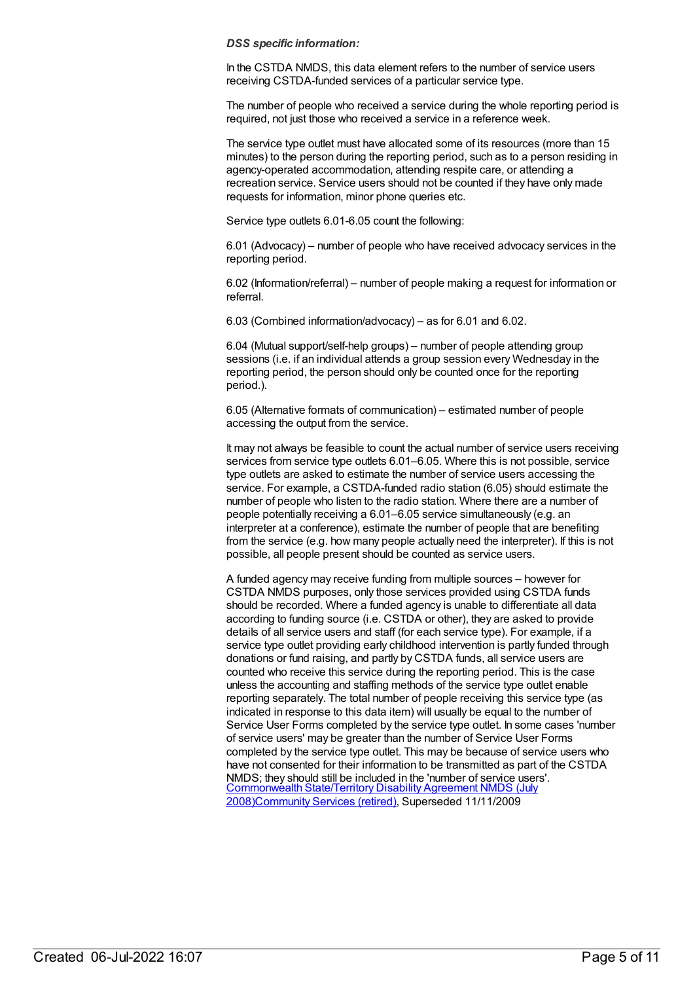#### *DSS specific information:*

In the CSTDA NMDS, this data element refers to the number of service users receiving CSTDA-funded services of a particular service type.

The number of people who received a service during the whole reporting period is required, not just those who received a service in a reference week.

The service type outlet must have allocated some of its resources (more than 15 minutes) to the person during the reporting period, such as to a person residing in agency-operated accommodation, attending respite care, or attending a recreation service. Service users should not be counted if they have only made requests for information, minor phone queries etc.

Service type outlets 6.01-6.05 count the following:

6.01 (Advocacy) – number of people who have received advocacy services in the reporting period.

6.02 (Information/referral) – number of people making a request for information or referral.

6.03 (Combined information/advocacy) – as for 6.01 and 6.02.

6.04 (Mutual support/self-help groups) – number of people attending group sessions (i.e. if an individual attends a group session every Wednesday in the reporting period, the person should only be counted once for the reporting period.).

6.05 (Alternative formats of communication) – estimated number of people accessing the output from the service.

It may not always be feasible to count the actual number of service users receiving services from service type outlets 6.01–6.05. Where this is not possible, service type outlets are asked to estimate the number of service users accessing the service. For example, a CSTDA-funded radio station (6.05) should estimate the number of people who listen to the radio station. Where there are a number of people potentially receiving a 6.01–6.05 service simultaneously (e.g. an interpreter at a conference), estimate the number of people that are benefiting from the service (e.g. how many people actually need the interpreter). If this is not possible, all people present should be counted as service users.

A funded agency may receive funding from multiple sources – however for CSTDA NMDS purposes, only those services provided using CSTDA funds should be recorded. Where a funded agency is unable to differentiate all data according to funding source (i.e. CSTDA or other), they are asked to provide details of all service users and staff (for each service type). For example, if a service type outlet providing early childhood intervention is partly funded through donations or fund raising, and partly by CSTDA funds, all service users are counted who receive this service during the reporting period. This is the case unless the accounting and staffing methods of the service type outlet enable reporting separately. The total number of people receiving this service type (as indicated in response to this data item) will usually be equal to the number of Service User Forms completed by the service type outlet. In some cases 'number of service users' may be greater than the number of Service User Forms completed by the service type outlet. This may be because of service users who have not consented for their information to be transmitted as part of the CSTDA NMDS; they should still be included in the 'number of service users'. Commonwealth State/Territory Disability Agreement NMDS (July [2008\)Community](https://meteor.aihw.gov.au/content/372123) Services (retired), Superseded 11/11/2009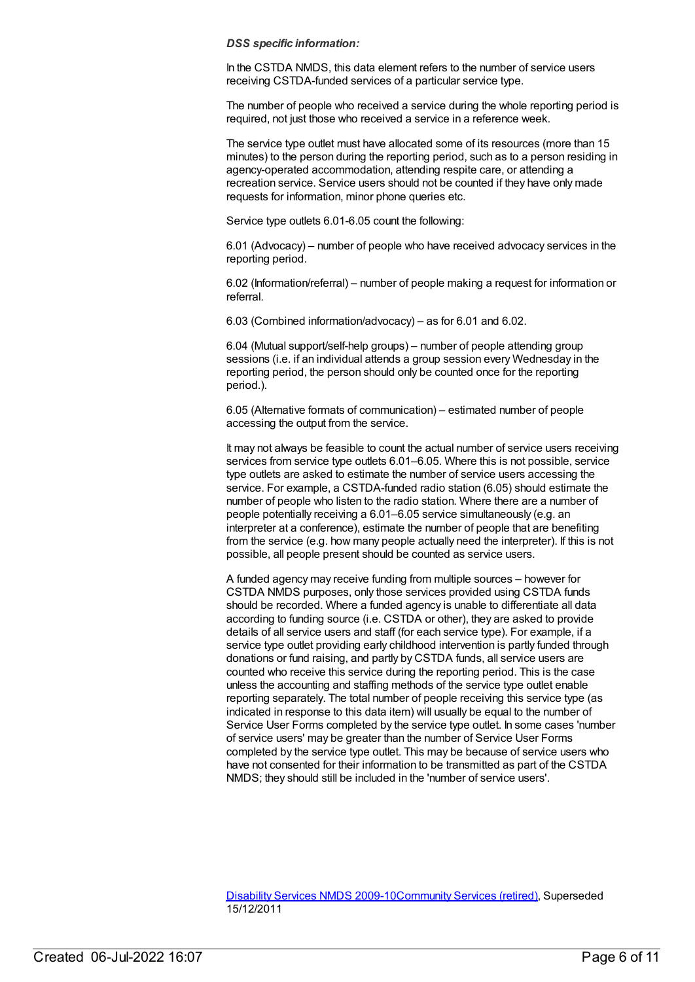#### *DSS specific information:*

In the CSTDA NMDS, this data element refers to the number of service users receiving CSTDA-funded services of a particular service type.

The number of people who received a service during the whole reporting period is required, not just those who received a service in a reference week.

The service type outlet must have allocated some of its resources (more than 15 minutes) to the person during the reporting period, such as to a person residing in agency-operated accommodation, attending respite care, or attending a recreation service. Service users should not be counted if they have only made requests for information, minor phone queries etc.

Service type outlets 6.01-6.05 count the following:

6.01 (Advocacy) – number of people who have received advocacy services in the reporting period.

6.02 (Information/referral) – number of people making a request for information or referral.

6.03 (Combined information/advocacy) – as for 6.01 and 6.02.

6.04 (Mutual support/self-help groups) – number of people attending group sessions (i.e. if an individual attends a group session every Wednesday in the reporting period, the person should only be counted once for the reporting period.).

6.05 (Alternative formats of communication) – estimated number of people accessing the output from the service.

It may not always be feasible to count the actual number of service users receiving services from service type outlets 6.01–6.05. Where this is not possible, service type outlets are asked to estimate the number of service users accessing the service. For example, a CSTDA-funded radio station (6.05) should estimate the number of people who listen to the radio station. Where there are a number of people potentially receiving a 6.01–6.05 service simultaneously (e.g. an interpreter at a conference), estimate the number of people that are benefiting from the service (e.g. how many people actually need the interpreter). If this is not possible, all people present should be counted as service users.

A funded agency may receive funding from multiple sources – however for CSTDA NMDS purposes, only those services provided using CSTDA funds should be recorded. Where a funded agency is unable to differentiate all data according to funding source (i.e. CSTDA or other), they are asked to provide details of all service users and staff (for each service type). For example, if a service type outlet providing early childhood intervention is partly funded through donations or fund raising, and partly by CSTDA funds, all service users are counted who receive this service during the reporting period. This is the case unless the accounting and staffing methods of the service type outlet enable reporting separately. The total number of people receiving this service type (as indicated in response to this data item) will usually be equal to the number of Service User Forms completed by the service type outlet. In some cases 'number of service users' may be greater than the number of Service User Forms completed by the service type outlet. This may be because of service users who have not consented for their information to be transmitted as part of the CSTDA NMDS; they should still be included in the 'number of service users'.

[Disability](https://meteor.aihw.gov.au/content/386485) Services NMDS 2009-10[Community](https://meteor.aihw.gov.au/RegistrationAuthority/1) Services (retired), Superseded 15/12/2011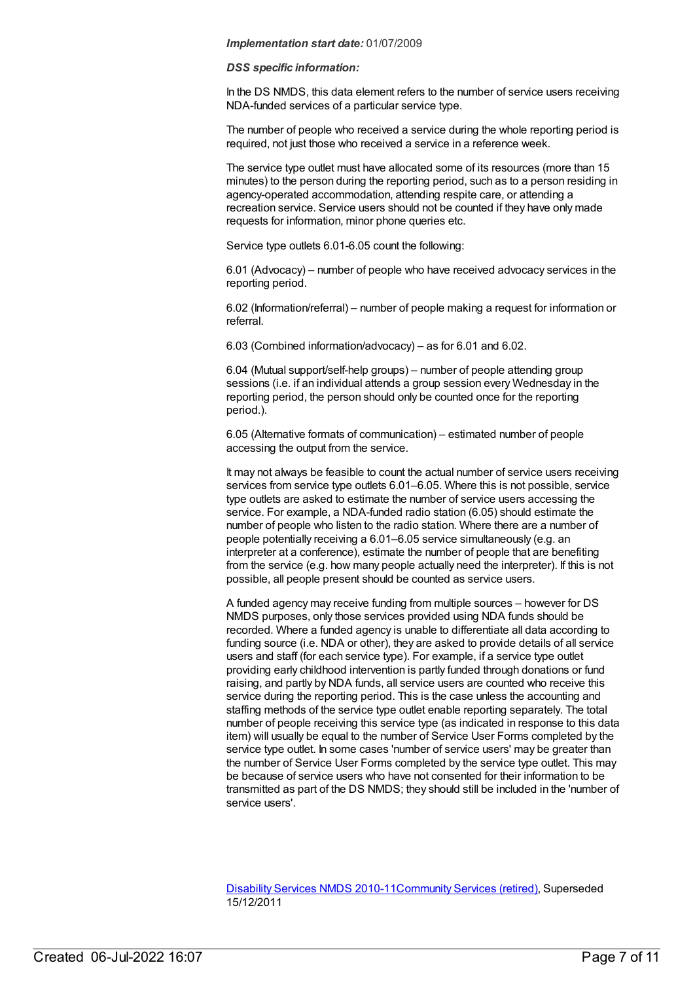#### *DSS specific information:*

In the DS NMDS, this data element refers to the number of service users receiving NDA-funded services of a particular service type.

The number of people who received a service during the whole reporting period is required, not just those who received a service in a reference week.

The service type outlet must have allocated some of its resources (more than 15 minutes) to the person during the reporting period, such as to a person residing in agency-operated accommodation, attending respite care, or attending a recreation service. Service users should not be counted if they have only made requests for information, minor phone queries etc.

Service type outlets 6.01-6.05 count the following:

6.01 (Advocacy) – number of people who have received advocacy services in the reporting period.

6.02 (Information/referral) – number of people making a request for information or referral.

6.03 (Combined information/advocacy) – as for 6.01 and 6.02.

6.04 (Mutual support/self-help groups) – number of people attending group sessions (i.e. if an individual attends a group session every Wednesday in the reporting period, the person should only be counted once for the reporting period.).

6.05 (Alternative formats of communication) – estimated number of people accessing the output from the service.

It may not always be feasible to count the actual number of service users receiving services from service type outlets 6.01–6.05. Where this is not possible, service type outlets are asked to estimate the number of service users accessing the service. For example, a NDA-funded radio station (6.05) should estimate the number of people who listen to the radio station. Where there are a number of people potentially receiving a 6.01–6.05 service simultaneously (e.g. an interpreter at a conference), estimate the number of people that are benefiting from the service (e.g. how many people actually need the interpreter). If this is not possible, all people present should be counted as service users.

A funded agency may receive funding from multiple sources – however for DS NMDS purposes, only those services provided using NDA funds should be recorded. Where a funded agency is unable to differentiate all data according to funding source (i.e. NDA or other), they are asked to provide details of all service users and staff (for each service type). For example, if a service type outlet providing early childhood intervention is partly funded through donations or fund raising, and partly by NDA funds, all service users are counted who receive this service during the reporting period. This is the case unless the accounting and staffing methods of the service type outlet enable reporting separately. The total number of people receiving this service type (as indicated in response to this data item) will usually be equal to the number of Service User Forms completed by the service type outlet. In some cases 'number of service users' may be greater than the number of Service User Forms completed by the service type outlet. This may be because of service users who have not consented for their information to be transmitted as part of the DS NMDS; they should still be included in the 'number of service users'.

[Disability](https://meteor.aihw.gov.au/content/428708) Services NMDS 2010-11 [Community](https://meteor.aihw.gov.au/RegistrationAuthority/1) Services (retired), Superseded 15/12/2011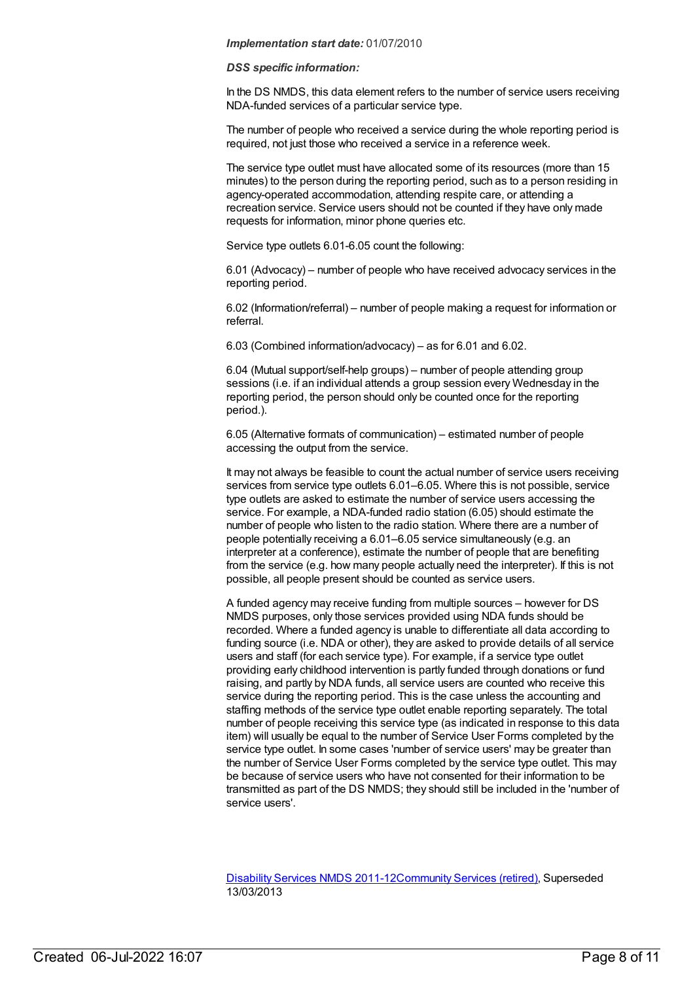#### *DSS specific information:*

In the DS NMDS, this data element refers to the number of service users receiving NDA-funded services of a particular service type.

The number of people who received a service during the whole reporting period is required, not just those who received a service in a reference week.

The service type outlet must have allocated some of its resources (more than 15 minutes) to the person during the reporting period, such as to a person residing in agency-operated accommodation, attending respite care, or attending a recreation service. Service users should not be counted if they have only made requests for information, minor phone queries etc.

Service type outlets 6.01-6.05 count the following:

6.01 (Advocacy) – number of people who have received advocacy services in the reporting period.

6.02 (Information/referral) – number of people making a request for information or referral.

6.03 (Combined information/advocacy) – as for 6.01 and 6.02.

6.04 (Mutual support/self-help groups) – number of people attending group sessions (i.e. if an individual attends a group session every Wednesday in the reporting period, the person should only be counted once for the reporting period.).

6.05 (Alternative formats of communication) – estimated number of people accessing the output from the service.

It may not always be feasible to count the actual number of service users receiving services from service type outlets 6.01–6.05. Where this is not possible, service type outlets are asked to estimate the number of service users accessing the service. For example, a NDA-funded radio station (6.05) should estimate the number of people who listen to the radio station. Where there are a number of people potentially receiving a 6.01–6.05 service simultaneously (e.g. an interpreter at a conference), estimate the number of people that are benefiting from the service (e.g. how many people actually need the interpreter). If this is not possible, all people present should be counted as service users.

A funded agency may receive funding from multiple sources – however for DS NMDS purposes, only those services provided using NDA funds should be recorded. Where a funded agency is unable to differentiate all data according to funding source (i.e. NDA or other), they are asked to provide details of all service users and staff (for each service type). For example, if a service type outlet providing early childhood intervention is partly funded through donations or fund raising, and partly by NDA funds, all service users are counted who receive this service during the reporting period. This is the case unless the accounting and staffing methods of the service type outlet enable reporting separately. The total number of people receiving this service type (as indicated in response to this data item) will usually be equal to the number of Service User Forms completed by the service type outlet. In some cases 'number of service users' may be greater than the number of Service User Forms completed by the service type outlet. This may be because of service users who have not consented for their information to be transmitted as part of the DS NMDS; they should still be included in the 'number of service users'.

[Disability](https://meteor.aihw.gov.au/content/461636) Services NMDS 2011-12[Community](https://meteor.aihw.gov.au/RegistrationAuthority/1) Services (retired), Superseded 13/03/2013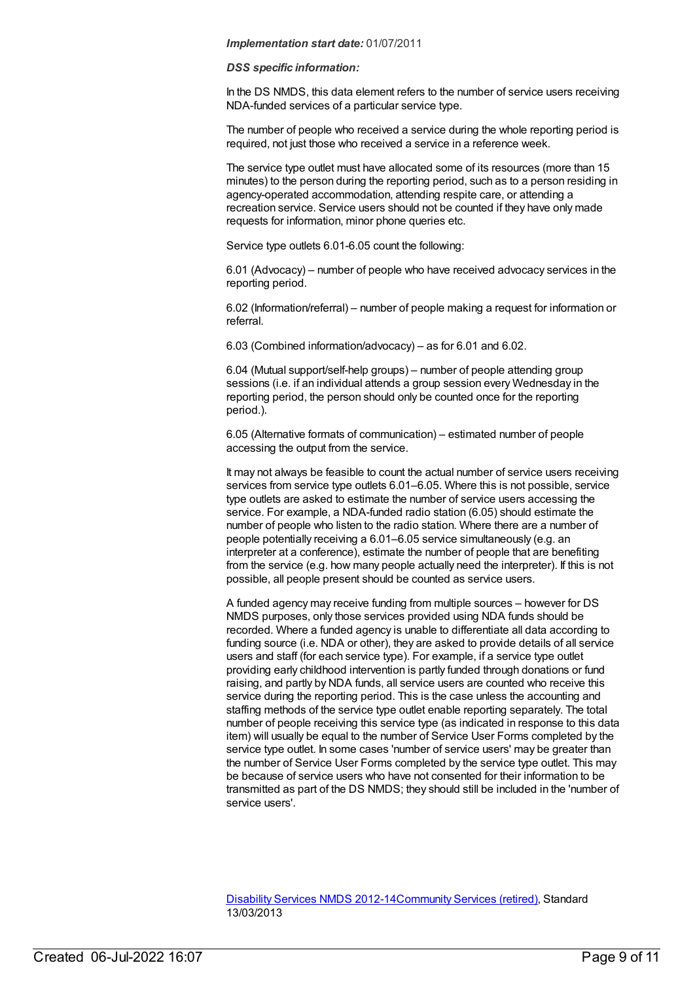#### *DSS specific information:*

In the DS NMDS, this data element refers to the number of service users receiving NDA-funded services of a particular service type.

The number of people who received a service during the whole reporting period is required, not just those who received a service in a reference week.

The service type outlet must have allocated some of its resources (more than 15 minutes) to the person during the reporting period, such as to a person residing in agency-operated accommodation, attending respite care, or attending a recreation service. Service users should not be counted if they have only made requests for information, minor phone queries etc.

Service type outlets 6.01-6.05 count the following:

6.01 (Advocacy) – number of people who have received advocacy services in the reporting period.

6.02 (Information/referral) – number of people making a request for information or referral.

6.03 (Combined information/advocacy) – as for 6.01 and 6.02.

6.04 (Mutual support/self-help groups) – number of people attending group sessions (i.e. if an individual attends a group session every Wednesday in the reporting period, the person should only be counted once for the reporting period.).

6.05 (Alternative formats of communication) – estimated number of people accessing the output from the service.

It may not always be feasible to count the actual number of service users receiving services from service type outlets 6.01–6.05. Where this is not possible, service type outlets are asked to estimate the number of service users accessing the service. For example, a NDA-funded radio station (6.05) should estimate the number of people who listen to the radio station. Where there are a number of people potentially receiving a 6.01–6.05 service simultaneously (e.g. an interpreter at a conference), estimate the number of people that are benefiting from the service (e.g. how many people actually need the interpreter). If this is not possible, all people present should be counted as service users.

A funded agency may receive funding from multiple sources – however for DS NMDS purposes, only those services provided using NDA funds should be recorded. Where a funded agency is unable to differentiate all data according to funding source (i.e. NDA or other), they are asked to provide details of all service users and staff (for each service type). For example, if a service type outlet providing early childhood intervention is partly funded through donations or fund raising, and partly by NDA funds, all service users are counted who receive this service during the reporting period. This is the case unless the accounting and staffing methods of the service type outlet enable reporting separately. The total number of people receiving this service type (as indicated in response to this data item) will usually be equal to the number of Service User Forms completed by the service type outlet. In some cases 'number of service users' may be greater than the number of Service User Forms completed by the service type outlet. This may be because of service users who have not consented for their information to be transmitted as part of the DS NMDS; they should still be included in the 'number of service users'.

[Disability](https://meteor.aihw.gov.au/content/461640) Services NMDS 2012-14[Community](https://meteor.aihw.gov.au/RegistrationAuthority/1) Services (retired), Standard 13/03/2013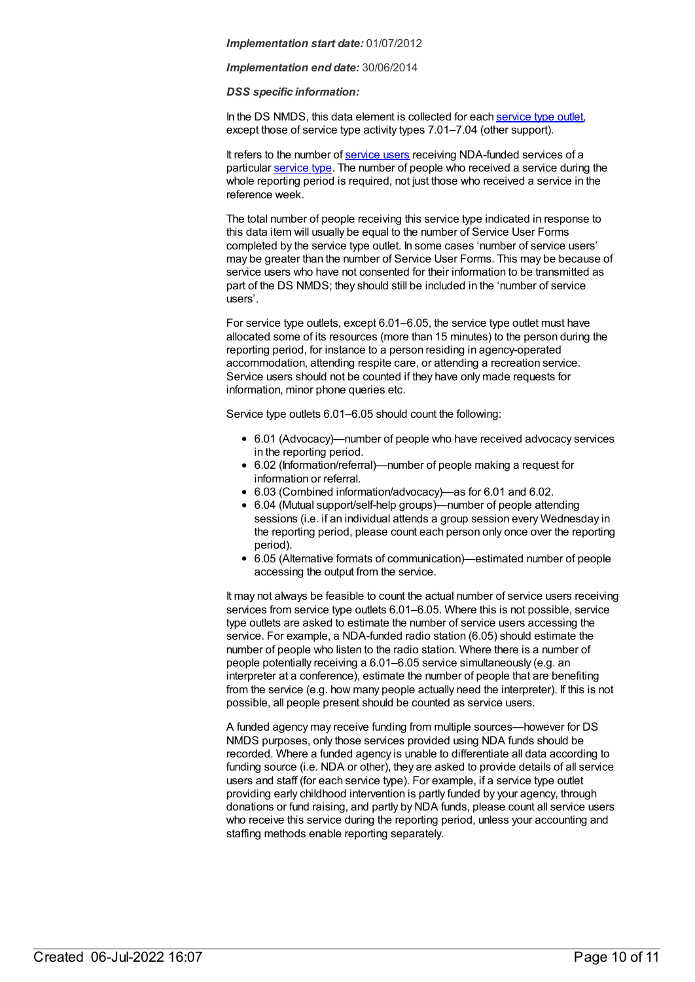*Implementation end date:* 30/06/2014

*DSS specific information:*

In the DS NMDS, this data element is collected for each [service](file:///content/501973) type outlet, except those of service type activity types 7.01–7.04 (other support).

It refers to the number of [service](file:///content/502689) users receiving NDA-funded services of a particular [service](file:///content/500887) type. The number of people who received a service during the whole reporting period is required, not just those who received a service in the reference week.

The total number of people receiving this service type indicated in response to this data item will usually be equal to the number of Service User Forms completed by the service type outlet. In some cases 'number of service users' may be greater than the number of Service User Forms. This may be because of service users who have not consented for their information to be transmitted as part of the DS NMDS; they should still be included in the 'number of service users'.

For service type outlets, except 6.01–6.05, the service type outlet must have allocated some of its resources (more than 15 minutes) to the person during the reporting period, for instance to a person residing in agency-operated accommodation, attending respite care, or attending a recreation service. Service users should not be counted if they have only made requests for information, minor phone queries etc.

Service type outlets 6.01–6.05 should count the following:

- 6.01 (Advocacy)—number of people who have received advocacy services in the reporting period.
- 6.02 (Information/referral)—number of people making a request for information or referral.
- 6.03 (Combined information/advocacy)—as for 6.01 and 6.02.
- 6.04 (Mutual support/self-help groups)—number of people attending sessions (i.e. if an individual attends a group session every Wednesday in the reporting period, please count each person only once over the reporting period).
- 6.05 (Alternative formats of communication)—estimated number of people accessing the output from the service.

It may not always be feasible to count the actual number of service users receiving services from service type outlets 6.01–6.05. Where this is not possible, service type outlets are asked to estimate the number of service users accessing the service. For example, a NDA-funded radio station (6.05) should estimate the number of people who listen to the radio station. Where there is a number of people potentially receiving a 6.01–6.05 service simultaneously (e.g. an interpreter at a conference), estimate the number of people that are benefiting from the service (e.g. how many people actually need the interpreter). If this is not possible, all people present should be counted as service users.

A funded agency may receive funding from multiple sources—however for DS NMDS purposes, only those services provided using NDA funds should be recorded. Where a funded agency is unable to differentiate all data according to funding source (i.e. NDA or other), they are asked to provide details of all service users and staff (for each service type). For example, if a service type outlet providing early childhood intervention is partly funded by your agency, through donations or fund raising, and partly by NDA funds, please count all service users who receive this service during the reporting period, unless your accounting and staffing methods enable reporting separately.